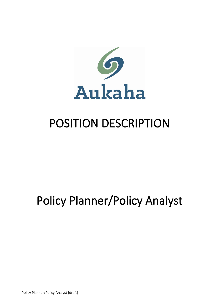

## POSITION DESCRIPTION

## Policy Planner/Policy Analyst

Policy Planner/Policy Analyst [draft]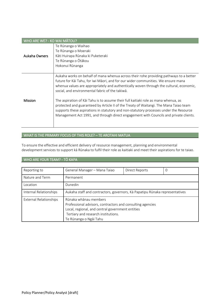| WHO ARE WE? - KO WAI MATOU? |                                                                                                                                                                                                                                                                                                                                                                                                                                                                                                                                                                                                                                                                                              |  |
|-----------------------------|----------------------------------------------------------------------------------------------------------------------------------------------------------------------------------------------------------------------------------------------------------------------------------------------------------------------------------------------------------------------------------------------------------------------------------------------------------------------------------------------------------------------------------------------------------------------------------------------------------------------------------------------------------------------------------------------|--|
| Aukaha Owners               | Te Rūnanga o Waihao<br>Te Rūnanga o Moeraki<br>Kāti Huirapa Rūnaka ki Puketeraki<br>Te Rūnanga o Ōtākou<br>Hokonui Rūnanga                                                                                                                                                                                                                                                                                                                                                                                                                                                                                                                                                                   |  |
| <b>Mission</b>              | Aukaha works on behalf of mana whenua across their rohe providing pathways to a better<br>future for Kāi Tahu, for iwi Māori, and for our wider communities. We ensure mana<br>whenua values are appropriately and authentically woven through the cultural, economic,<br>social, and environmental fabric of the takiwa.<br>The aspiration of Kai Tahu is to assume their full kaitiaki role as mana whenua, as<br>protected and guaranteed by Article II of the Treaty of Waitangi. The Mana Taiao team<br>supports these aspirations in statutory and non-statutory processes under the Resource<br>Management Act 1991, and through direct engagement with Councils and private clients. |  |

## WHAT IS THE PRIMARY FOCUS OF THIS ROLE? – TE AROTAHI MATUA

To ensure the effective and efficient delivery of resource management, planning and environmental development services to support kā Rūnaka to fulfil their role as kaitiaki and meet their aspirations for te taiao.

## WHO ARE YOUR TEAM? - TŌ KAPA

| Reporting to           | General Manager - Mana Taiao                                                                                                                                                                             | <b>Direct Reports</b> | 0 |
|------------------------|----------------------------------------------------------------------------------------------------------------------------------------------------------------------------------------------------------|-----------------------|---|
| Nature and Term        | Permanent                                                                                                                                                                                                |                       |   |
| Location               | Dunedin                                                                                                                                                                                                  |                       |   |
| Internal Relationships | Aukaha staff and contractors, governors, Kā Papatipu Rūnaka representatives                                                                                                                              |                       |   |
| External Relationships | Rūnaka whānau members<br>Professional advisors, contractors and consulting agencies<br>Local, regional, and central government entities<br>Tertiary and research institutions.<br>Te Rūnanga o Ngāi Tahu |                       |   |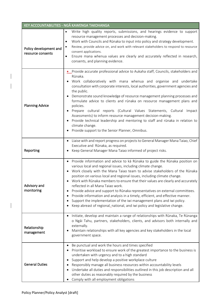|                                             | KEY ACCOUNTABILITIES - NGĀ KAWENGA TAKOHANGA                                                                                                                                                                                                                                                                                                                                                                                                                                                                                                                                                                                                                                                                                                                                                                |
|---------------------------------------------|-------------------------------------------------------------------------------------------------------------------------------------------------------------------------------------------------------------------------------------------------------------------------------------------------------------------------------------------------------------------------------------------------------------------------------------------------------------------------------------------------------------------------------------------------------------------------------------------------------------------------------------------------------------------------------------------------------------------------------------------------------------------------------------------------------------|
| Policy development and<br>resource consents | Write high quality reports, submissions, and hearings evidence to support<br>$\bullet$<br>resource management processes and decision-making.<br>Work with Councils and Rūnaka to input into policy and strategy development.<br>Review, provide advice on, and work with relevant stakeholders to respond to resource<br>consent applications.<br>Ensure mana whenua values are clearly and accurately reflected in research,<br>$\bullet$<br>consents, and planning evidence.                                                                                                                                                                                                                                                                                                                              |
| <b>Planning Advice</b>                      | • Provide accurate professional advice to Aukaha staff, Councils, stakeholders and<br>Rūnaka.<br>Work collaboratively with mana whenua and organise and undertake<br>consultation with corporate interests, local authorities, government agencies and<br>the public.<br>Demonstrate sound knowledge of resource management planning processes and<br>formulate advice to clients and rūnaka on resource management plans and<br>policies.<br>Prepare cultural reports (Cultural Values Statements, Cultural Impact<br>Assessments) to inform resource management decision-making.<br>Provide technical leadership and mentoring to staff and rūnaka in relation to<br>$\bullet$<br>climate change.<br>Provide support to the Senior Planner, Omnibus.                                                      |
| Reporting                                   | Liaise with and report progress on projects to General Manager Mana Taiao, Chief<br>٠<br>Executive and Rūnaka, as required.<br>Keep General Manager Mana Taiao informed of project risks.                                                                                                                                                                                                                                                                                                                                                                                                                                                                                                                                                                                                                   |
| Advisory and<br>monitoring                  | Provide information and advice to kā Rūnaka to guide the Rūnaka position on<br>$\bullet$<br>various local and regional issues, including climate change.<br>Work closely with the Mana Taiao team to advise stakeholders of the Rūnaka<br>position on various local and regional issues, including climate change.<br>Work with Rūnaka members to ensure that their values are clearly and accurately<br>reflected in all Mana Taiao work.<br>Provide advice and support to Rūnaka representatives on external committees.<br>$\bullet$<br>Provide information and analysis in a timely, efficient, and effective manner.<br>$\bullet$<br>Support the implementation of the iwi management plans and iwi policy.<br>$\bullet$<br>Keep abreast of regional, national, and iwi policy and legislative change. |
| Relationship<br>management                  | Initiate, develop and maintain a range of relationships with Rūnaka, Te Rūnanga<br>$\bullet$<br>o Ngāi Tahu, partners, stakeholders, clients, and advisors both internally and<br>externally.<br>Maintain relationships with all key agencies and key stakeholders in the local<br>$\bullet$<br>government space.                                                                                                                                                                                                                                                                                                                                                                                                                                                                                           |
| <b>General Duties</b>                       | Be punctual and work the hours and times specified<br>$\bullet$<br>Prioritise workload to ensure work of the greatest importance to the business is<br>undertaken with urgency and to a high standard<br>Support and help develop a positive workplace culture<br>$\bullet$<br>Responsibly manage all business resources within accountability levels<br>٠<br>Undertake all duties and responsibilities outlined in this job description and all<br>other duties as reasonably required by the business<br>Comply with all employment obligations<br>٠                                                                                                                                                                                                                                                      |

 $\begin{array}{c} \hline \end{array}$ 

 $\begin{array}{c} \hline \end{array}$ 

 $\overline{\phantom{a}}$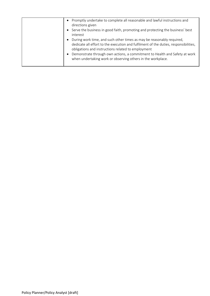| Promptly undertake to complete all reasonable and lawful instructions and<br>directions given<br>Serve the business in good faith, promoting and protecting the business' best<br>interest<br>During work time, and such other times as may be reasonably required,<br>$\bullet$<br>dedicate all effort to the execution and fulfilment of the duties, responsibilities,<br>obligations and instructions related to employment<br>Demonstrate through own actions, a commitment to Health and Safety at work<br>$\bullet$<br>when undertaking work or observing others in the workplace. |
|------------------------------------------------------------------------------------------------------------------------------------------------------------------------------------------------------------------------------------------------------------------------------------------------------------------------------------------------------------------------------------------------------------------------------------------------------------------------------------------------------------------------------------------------------------------------------------------|
|                                                                                                                                                                                                                                                                                                                                                                                                                                                                                                                                                                                          |